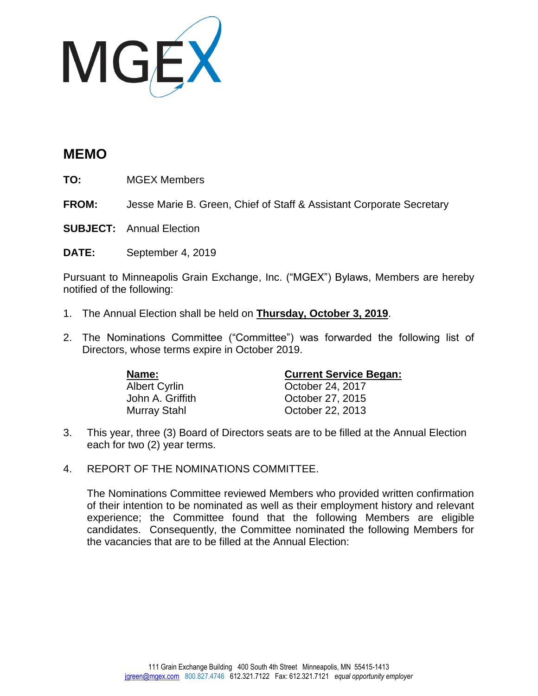

## **MEMO**

**TO:** MGEX Members

**FROM:** Jesse Marie B. Green, Chief of Staff & Assistant Corporate Secretary

**SUBJECT:** Annual Election

**DATE:** September 4, 2019

Pursuant to Minneapolis Grain Exchange, Inc. ("MGEX") Bylaws, Members are hereby notified of the following:

- 1. The Annual Election shall be held on **Thursday, October 3, 2019**.
- 2. The Nominations Committee ("Committee") was forwarded the following list of Directors, whose terms expire in October 2019.

| Name:                | <b>Current Service Began:</b> |
|----------------------|-------------------------------|
| <b>Albert Cyrlin</b> | October 24, 2017              |
| John A. Griffith     | October 27, 2015              |
| Murray Stahl         | October 22, 2013              |

- 3. This year, three (3) Board of Directors seats are to be filled at the Annual Election each for two (2) year terms.
- 4. REPORT OF THE NOMINATIONS COMMITTEE.

The Nominations Committee reviewed Members who provided written confirmation of their intention to be nominated as well as their employment history and relevant experience; the Committee found that the following Members are eligible candidates. Consequently, the Committee nominated the following Members for the vacancies that are to be filled at the Annual Election: